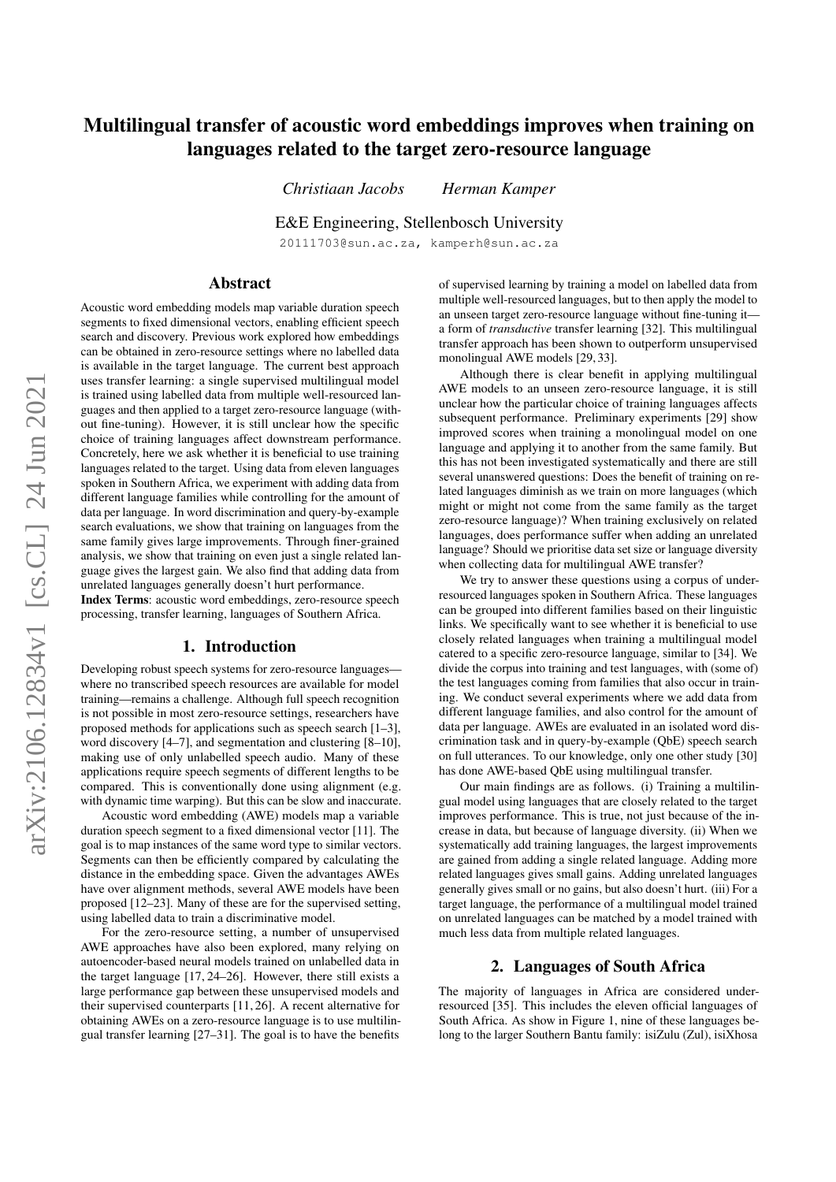# Multilingual transfer of acoustic word embeddings improves when training on languages related to the target zero-resource language

*Christiaan Jacobs Herman Kamper*

E&E Engineering, Stellenbosch University

20111703@sun.ac.za, kamperh@sun.ac.za

## Abstract

Acoustic word embedding models map variable duration speech segments to fixed dimensional vectors, enabling efficient speech search and discovery. Previous work explored how embeddings can be obtained in zero-resource settings where no labelled data is available in the target language. The current best approach uses transfer learning: a single supervised multilingual model is trained using labelled data from multiple well-resourced languages and then applied to a target zero-resource language (without fine-tuning). However, it is still unclear how the specific choice of training languages affect downstream performance. Concretely, here we ask whether it is beneficial to use training languages related to the target. Using data from eleven languages spoken in Southern Africa, we experiment with adding data from different language families while controlling for the amount of data per language. In word discrimination and query-by-example search evaluations, we show that training on languages from the same family gives large improvements. Through finer-grained analysis, we show that training on even just a single related language gives the largest gain. We also find that adding data from unrelated languages generally doesn't hurt performance.

Index Terms: acoustic word embeddings, zero-resource speech processing, transfer learning, languages of Southern Africa.

## 1. Introduction

Developing robust speech systems for zero-resource languages where no transcribed speech resources are available for model training—remains a challenge. Although full speech recognition is not possible in most zero-resource settings, researchers have proposed methods for applications such as speech search [\[1](#page-4-0)[–3\]](#page-4-1), word discovery [\[4–](#page-4-2)[7\]](#page-4-3), and segmentation and clustering [\[8–](#page-4-4)[10\]](#page-4-5), making use of only unlabelled speech audio. Many of these applications require speech segments of different lengths to be compared. This is conventionally done using alignment (e.g. with dynamic time warping). But this can be slow and inaccurate.

Acoustic word embedding (AWE) models map a variable duration speech segment to a fixed dimensional vector [\[11\]](#page-4-6). The goal is to map instances of the same word type to similar vectors. Segments can then be efficiently compared by calculating the distance in the embedding space. Given the advantages AWEs have over alignment methods, several AWE models have been proposed [\[12–](#page-4-7)[23\]](#page-4-8). Many of these are for the supervised setting, using labelled data to train a discriminative model.

For the zero-resource setting, a number of unsupervised AWE approaches have also been explored, many relying on autoencoder-based neural models trained on unlabelled data in the target language [\[17,](#page-4-9) [24–](#page-4-10)[26\]](#page-4-11). However, there still exists a large performance gap between these unsupervised models and their supervised counterparts [\[11,](#page-4-6) [26\]](#page-4-11). A recent alternative for obtaining AWEs on a zero-resource language is to use multilingual transfer learning [\[27](#page-4-12)[–31\]](#page-4-13). The goal is to have the benefits of supervised learning by training a model on labelled data from multiple well-resourced languages, but to then apply the model to an unseen target zero-resource language without fine-tuning it a form of *transductive* transfer learning [\[32\]](#page-4-14). This multilingual transfer approach has been shown to outperform unsupervised monolingual AWE models [\[29,](#page-4-15) [33\]](#page-4-16).

Although there is clear benefit in applying multilingual AWE models to an unseen zero-resource language, it is still unclear how the particular choice of training languages affects subsequent performance. Preliminary experiments [\[29\]](#page-4-15) show improved scores when training a monolingual model on one language and applying it to another from the same family. But this has not been investigated systematically and there are still several unanswered questions: Does the benefit of training on related languages diminish as we train on more languages (which might or might not come from the same family as the target zero-resource language)? When training exclusively on related languages, does performance suffer when adding an unrelated language? Should we prioritise data set size or language diversity when collecting data for multilingual AWE transfer?

We try to answer these questions using a corpus of underresourced languages spoken in Southern Africa. These languages can be grouped into different families based on their linguistic links. We specifically want to see whether it is beneficial to use closely related languages when training a multilingual model catered to a specific zero-resource language, similar to [\[34\]](#page-4-17). We divide the corpus into training and test languages, with (some of) the test languages coming from families that also occur in training. We conduct several experiments where we add data from different language families, and also control for the amount of data per language. AWEs are evaluated in an isolated word discrimination task and in query-by-example (QbE) speech search on full utterances. To our knowledge, only one other study [\[30\]](#page-4-18) has done AWE-based QbE using multilingual transfer.

Our main findings are as follows. (i) Training a multilingual model using languages that are closely related to the target improves performance. This is true, not just because of the increase in data, but because of language diversity. (ii) When we systematically add training languages, the largest improvements are gained from adding a single related language. Adding more related languages gives small gains. Adding unrelated languages generally gives small or no gains, but also doesn't hurt. (iii) For a target language, the performance of a multilingual model trained on unrelated languages can be matched by a model trained with much less data from multiple related languages.

## 2. Languages of South Africa

<span id="page-0-0"></span>The majority of languages in Africa are considered underresourced [\[35\]](#page-4-19). This includes the eleven official languages of South Africa. As show in Figure [1,](#page-1-0) nine of these languages belong to the larger Southern Bantu family: isiZulu (Zul), isiXhosa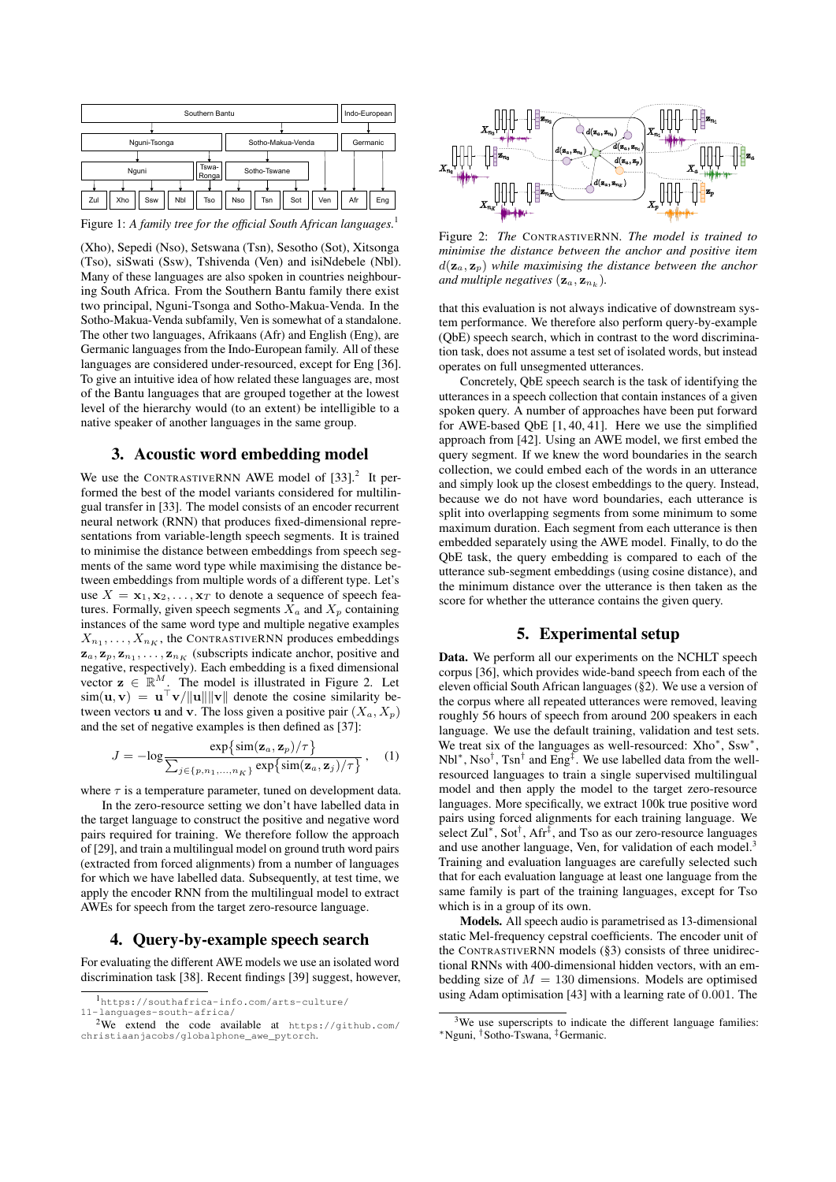<span id="page-1-0"></span>

Figure 1: *A family tree for the official South African languages.*[1](#page-1-1)

(Xho), Sepedi (Nso), Setswana (Tsn), Sesotho (Sot), Xitsonga (Tso), siSwati (Ssw), Tshivenda (Ven) and isiNdebele (Nbl). Many of these languages are also spoken in countries neighbouring South Africa. From the Southern Bantu family there exist two principal, Nguni-Tsonga and Sotho-Makua-Venda. In the Sotho-Makua-Venda subfamily, Ven is somewhat of a standalone. The other two languages, Afrikaans (Afr) and English (Eng), are Germanic languages from the Indo-European family. All of these languages are considered under-resourced, except for Eng [\[36\]](#page-4-20). To give an intuitive idea of how related these languages are, most of the Bantu languages that are grouped together at the lowest level of the hierarchy would (to an extent) be intelligible to a native speaker of another languages in the same group.

# 3. Acoustic word embedding model

<span id="page-1-5"></span>We use the CONTRASTIVERNN AWE model of  $[33]$ .<sup>[2](#page-1-2)</sup> It performed the best of the model variants considered for multilingual transfer in [\[33\]](#page-4-16). The model consists of an encoder recurrent neural network (RNN) that produces fixed-dimensional representations from variable-length speech segments. It is trained to minimise the distance between embeddings from speech segments of the same word type while maximising the distance between embeddings from multiple words of a different type. Let's use  $X = \mathbf{x}_1, \mathbf{x}_2, \dots, \mathbf{x}_T$  to denote a sequence of speech features. Formally, given speech segments  $X_a$  and  $X_p$  containing instances of the same word type and multiple negative examples  $X_{n_1}, \ldots, X_{n_K}$ , the CONTRASTIVERNN produces embeddings  $z_a, z_p, z_{n_1}, \ldots, z_{n_K}$  (subscripts indicate anchor, positive and negative, respectively). Each embedding is a fixed dimensional vector  $z \in \mathbb{R}^M$ . The model is illustrated in Figure [2.](#page-1-3) Let  $\sin(\mathbf{u}, \mathbf{v}) = \mathbf{u}^{\top} \mathbf{v}/\|\mathbf{u}\| \|\mathbf{v}\|$  denote the cosine similarity between vectors **u** and **v**. The loss given a positive pair  $(X_a, X_p)$ and the set of negative examples is then defined as [\[37\]](#page-4-21):

<span id="page-1-6"></span>
$$
J = -\log \frac{\exp\{\sin(\mathbf{z}_a, \mathbf{z}_p)/\tau\}}{\sum_{j \in \{p, n_1, \dots, n_K\}} \exp\{\sin(\mathbf{z}_a, \mathbf{z}_j)/\tau\}}, \quad (1)
$$

where  $\tau$  is a temperature parameter, tuned on development data.

In the zero-resource setting we don't have labelled data in the target language to construct the positive and negative word pairs required for training. We therefore follow the approach of [\[29\]](#page-4-15), and train a multilingual model on ground truth word pairs (extracted from forced alignments) from a number of languages for which we have labelled data. Subsequently, at test time, we apply the encoder RNN from the multilingual model to extract AWEs for speech from the target zero-resource language.

#### 4. Query-by-example speech search

<span id="page-1-7"></span>For evaluating the different AWE models we use an isolated word discrimination task [\[38\]](#page-4-22). Recent findings [\[39\]](#page-4-23) suggest, however,

<span id="page-1-3"></span>

Figure 2: *The* CONTRASTIVERNN*. The model is trained to minimise the distance between the anchor and positive item*  $d(\mathbf{z}_a, \mathbf{z}_p)$  while maximising the distance between the anchor and multiple negatives  $(\mathbf{z}_a, \mathbf{z}_{n_k})$ .

that this evaluation is not always indicative of downstream system performance. We therefore also perform query-by-example (QbE) speech search, which in contrast to the word discrimination task, does not assume a test set of isolated words, but instead operates on full unsegmented utterances.

Concretely, QbE speech search is the task of identifying the utterances in a speech collection that contain instances of a given spoken query. A number of approaches have been put forward for AWE-based QbE [\[1,](#page-4-0) [40,](#page-4-24) [41\]](#page-4-25). Here we use the simplified approach from [\[42\]](#page-4-26). Using an AWE model, we first embed the query segment. If we knew the word boundaries in the search collection, we could embed each of the words in an utterance and simply look up the closest embeddings to the query. Instead, because we do not have word boundaries, each utterance is split into overlapping segments from some minimum to some maximum duration. Each segment from each utterance is then embedded separately using the AWE model. Finally, to do the QbE task, the query embedding is compared to each of the utterance sub-segment embeddings (using cosine distance), and the minimum distance over the utterance is then taken as the score for whether the utterance contains the given query.

## 5. Experimental setup

Data. We perform all our experiments on the NCHLT speech corpus [\[36\]](#page-4-20), which provides wide-band speech from each of the eleven official South African languages ([§2\)](#page-0-0). We use a version of the corpus where all repeated utterances were removed, leaving roughly 56 hours of speech from around 200 speakers in each language. We use the default training, validation and test sets. We treat six of the languages as well-resourced: Xho<sup>\*</sup>, Ssw<sup>\*</sup>, Nbl<sup>∗</sup>, Nso<sup>†</sup>, Tsn<sup>†</sup> and Eng<sup>‡</sup>. We use labelled data from the wellresourced languages to train a single supervised multilingual model and then apply the model to the target zero-resource languages. More specifically, we extract 100k true positive word pairs using forced alignments for each training language. We select Zul<sup>∗</sup>, Sot<sup>†</sup>, Afr<sup>‡</sup>, and Tso as our zero-resource languages and use another language, Ven, for validation of each model.<sup>[3](#page-1-4)</sup> Training and evaluation languages are carefully selected such that for each evaluation language at least one language from the same family is part of the training languages, except for Tso which is in a group of its own.

Models. All speech audio is parametrised as 13-dimensional static Mel-frequency cepstral coefficients. The encoder unit of the CONTRASTIVERNN models ([§3\)](#page-1-5) consists of three unidirectional RNNs with 400-dimensional hidden vectors, with an embedding size of  $M = 130$  dimensions. Models are optimised using Adam optimisation [\[43\]](#page-4-27) with a learning rate of 0.001. The

<span id="page-1-1"></span><sup>1</sup>[https://southafrica-info.com/arts-culture/](https://southafrica-info.com/arts-culture/11-languages-south-africa/)

<span id="page-1-2"></span>[<sup>11-</sup>languages-south-africa/](https://southafrica-info.com/arts-culture/11-languages-south-africa/) <sup>2</sup>We extend the code available at [https://github.com/](https://github.com/christiaanjacobs/globalphone_awe_pytorch) [christiaanjacobs/globalphone\\_awe\\_pytorch](https://github.com/christiaanjacobs/globalphone_awe_pytorch).

<span id="page-1-4"></span><sup>&</sup>lt;sup>3</sup>We use superscripts to indicate the different language families: <sup>∗</sup>Nguni, †Sotho-Tswana, ‡Germanic.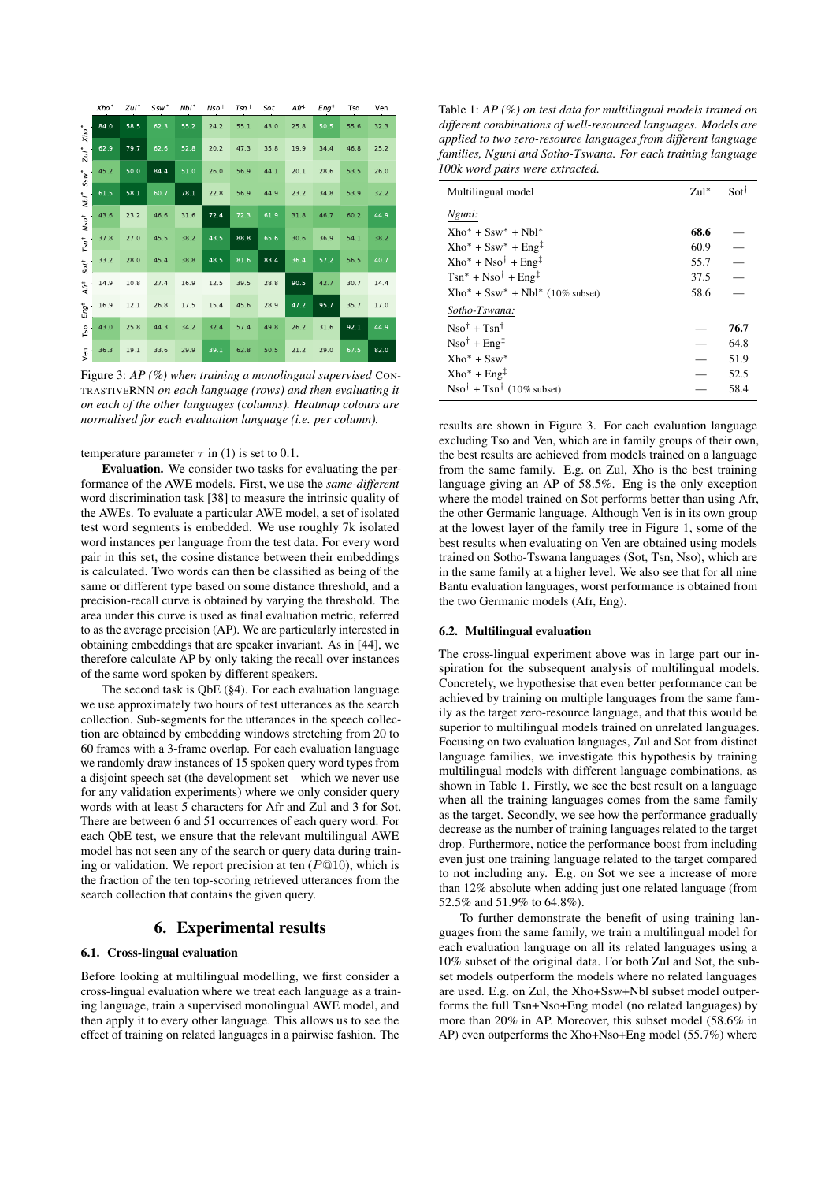<span id="page-2-0"></span>

|                                                 | Xho <sup>*</sup> | $Zul^*$ | Ssw* | Nbl <sup>*</sup> | Nso <sup>t</sup> | $T$ sn $^+$ | $Sot^{\dagger}$ | Ar <sup>†</sup> | Eng <sup>†</sup> | Tso  | Ven  |
|-------------------------------------------------|------------------|---------|------|------------------|------------------|-------------|-----------------|-----------------|------------------|------|------|
| $xho^*$<br>$z_{ul}$<br>SSW <sup>*</sup><br>"NPI | 84.0             | 58.5    | 62.3 | 55.2             | 24.2             | 55.1        | 43.0            | 25.8            | 50.5             | 55.6 | 32.3 |
|                                                 | 62.9             | 79.7    | 62.6 | 52.8             | 20.2             | 47.3        | 35.8            | 19.9            | 34.4             | 46.8 | 25.2 |
|                                                 | 45.2             | 50.0    | 84.4 | 51.0             | 26.0             | 56.9        | 44.1            | 20.1            | 28.6             | 53.5 | 26.0 |
|                                                 | 61.5             | 58.1    | 60.7 | 78.1             | 22.8             | 56.9        | 44.9            | 23.2            | 34.8             | 53.9 | 32.2 |
| NSO <sup>†</sup>                                | 43.6             | 23.2    | 46.6 | 31.6             | 72.4             | 72.3        | 61.9            | 31.8            | 46.7             | 60.2 | 44.9 |
| $T$ Sn <sup>+</sup>                             | 37.8             | 27.0    | 45.5 | 38.2             | 43.5             | 88.8        | 65.6            | 30.6            | 36.9             | 54.1 | 38.2 |
| $Sot^{\dagger}$                                 | 33.2             | 28.0    | 45.4 | 38.8             | 48.5             | 81.6        | 83.4            | 36.4            | 57.2             | 56.5 | 40.7 |
| $Ar^{\ddagger}$                                 | 14.9             | 10.8    | 27.4 | 16.9             | 12.5             | 39.5        | 28.8            | 90.5            | 42.7             | 30.7 | 14.4 |
| Eng <sup>‡</sup>                                | 16.9             | 12.1    | 26.8 | 17.5             | 15.4             | 45.6        | 28.9            | 47.2            | 95.7             | 35.7 | 17.0 |
| Tso                                             | 43.0             | 25.8    | 44.3 | 34.2             | 32.4             | 57.4        | 49.8            | 26.2            | 31.6             | 92.1 | 44.9 |
| yen                                             | 36.3             | 19.1    | 33.6 | 29.9             | 39.1             | 62.8        | 50.5            | 21.2            | 29.0             | 67.5 | 82.0 |

Figure 3: *AP (%) when training a monolingual supervised* CON-TRASTIVERNN *on each language (rows) and then evaluating it on each of the other languages (columns). Heatmap colours are normalised for each evaluation language (i.e. per column).*

#### temperature parameter  $\tau$  in [\(1\)](#page-1-6) is set to 0.1.

Evaluation. We consider two tasks for evaluating the performance of the AWE models. First, we use the *same-different* word discrimination task [\[38\]](#page-4-22) to measure the intrinsic quality of the AWEs. To evaluate a particular AWE model, a set of isolated test word segments is embedded. We use roughly 7k isolated word instances per language from the test data. For every word pair in this set, the cosine distance between their embeddings is calculated. Two words can then be classified as being of the same or different type based on some distance threshold, and a precision-recall curve is obtained by varying the threshold. The area under this curve is used as final evaluation metric, referred to as the average precision (AP). We are particularly interested in obtaining embeddings that are speaker invariant. As in [\[44\]](#page-4-28), we therefore calculate AP by only taking the recall over instances of the same word spoken by different speakers.

The second task is QbE ([§4\)](#page-1-7). For each evaluation language we use approximately two hours of test utterances as the search collection. Sub-segments for the utterances in the speech collection are obtained by embedding windows stretching from 20 to 60 frames with a 3-frame overlap. For each evaluation language we randomly draw instances of 15 spoken query word types from a disjoint speech set (the development set—which we never use for any validation experiments) where we only consider query words with at least 5 characters for Afr and Zul and 3 for Sot. There are between 6 and 51 occurrences of each query word. For each QbE test, we ensure that the relevant multilingual AWE model has not seen any of the search or query data during training or validation. We report precision at ten  $(P@10)$ , which is the fraction of the ten top-scoring retrieved utterances from the search collection that contains the given query.

# 6. Experimental results

#### 6.1. Cross-lingual evaluation

Before looking at multilingual modelling, we first consider a cross-lingual evaluation where we treat each language as a training language, train a supervised monolingual AWE model, and then apply it to every other language. This allows us to see the effect of training on related languages in a pairwise fashion. The

<span id="page-2-1"></span>Table 1: *AP (%) on test data for multilingual models trained on different combinations of well-resourced languages. Models are applied to two zero-resource languages from different language families, Nguni and Sotho-Tswana. For each training language 100k word pairs were extracted.*

| Multilingual model                                         | $Zul^*$ | $\text{Sot}^{\dagger}$   |
|------------------------------------------------------------|---------|--------------------------|
| Nguni:                                                     |         |                          |
| $Xho^* + Ssw^* + Nbl^*$                                    | 68.6    |                          |
| $Xho^* + Ssw^* + Eng^{\ddagger}$                           | 60.9    |                          |
| $Xho^* + Nso^{\dagger} + Eng^{\ddagger}$                   | 55.7    | $\overline{\phantom{a}}$ |
| $Tsn^* + Nso^{\dagger} + Eng^{\ddagger}$                   | 37.5    | $\overline{\phantom{0}}$ |
| $Xho^* + Ssw^* + Nbl^*$ (10% subset)                       | 58.6    |                          |
| Sotho-Tswana:                                              |         |                          |
| $Nso^{\dagger} + Tsn^{\dagger}$                            |         | 76.7                     |
| $Nso^{\dagger}$ + Eng <sup>‡</sup>                         |         | 64.8                     |
| $Xho^* + Ssw^*$                                            |         | 51.9                     |
| $Xho^* + Eng^{\ddagger}$                                   |         | 52.5                     |
| $\text{Nso}^{\dagger} + \text{Tsn}^{\dagger}$ (10% subset) |         | 58.4                     |

results are shown in Figure [3.](#page-2-0) For each evaluation language excluding Tso and Ven, which are in family groups of their own, the best results are achieved from models trained on a language from the same family. E.g. on Zul, Xho is the best training language giving an AP of 58.5%. Eng is the only exception where the model trained on Sot performs better than using Afr, the other Germanic language. Although Ven is in its own group at the lowest layer of the family tree in Figure [1,](#page-1-0) some of the best results when evaluating on Ven are obtained using models trained on Sotho-Tswana languages (Sot, Tsn, Nso), which are in the same family at a higher level. We also see that for all nine Bantu evaluation languages, worst performance is obtained from the two Germanic models (Afr, Eng).

#### 6.2. Multilingual evaluation

The cross-lingual experiment above was in large part our inspiration for the subsequent analysis of multilingual models. Concretely, we hypothesise that even better performance can be achieved by training on multiple languages from the same family as the target zero-resource language, and that this would be superior to multilingual models trained on unrelated languages. Focusing on two evaluation languages, Zul and Sot from distinct language families, we investigate this hypothesis by training multilingual models with different language combinations, as shown in Table [1.](#page-2-1) Firstly, we see the best result on a language when all the training languages comes from the same family as the target. Secondly, we see how the performance gradually decrease as the number of training languages related to the target drop. Furthermore, notice the performance boost from including even just one training language related to the target compared to not including any. E.g. on Sot we see a increase of more than 12% absolute when adding just one related language (from 52.5% and 51.9% to 64.8%).

To further demonstrate the benefit of using training languages from the same family, we train a multilingual model for each evaluation language on all its related languages using a 10% subset of the original data. For both Zul and Sot, the subset models outperform the models where no related languages are used. E.g. on Zul, the Xho+Ssw+Nbl subset model outperforms the full Tsn+Nso+Eng model (no related languages) by more than 20% in AP. Moreover, this subset model (58.6% in AP) even outperforms the Xho+Nso+Eng model (55.7%) where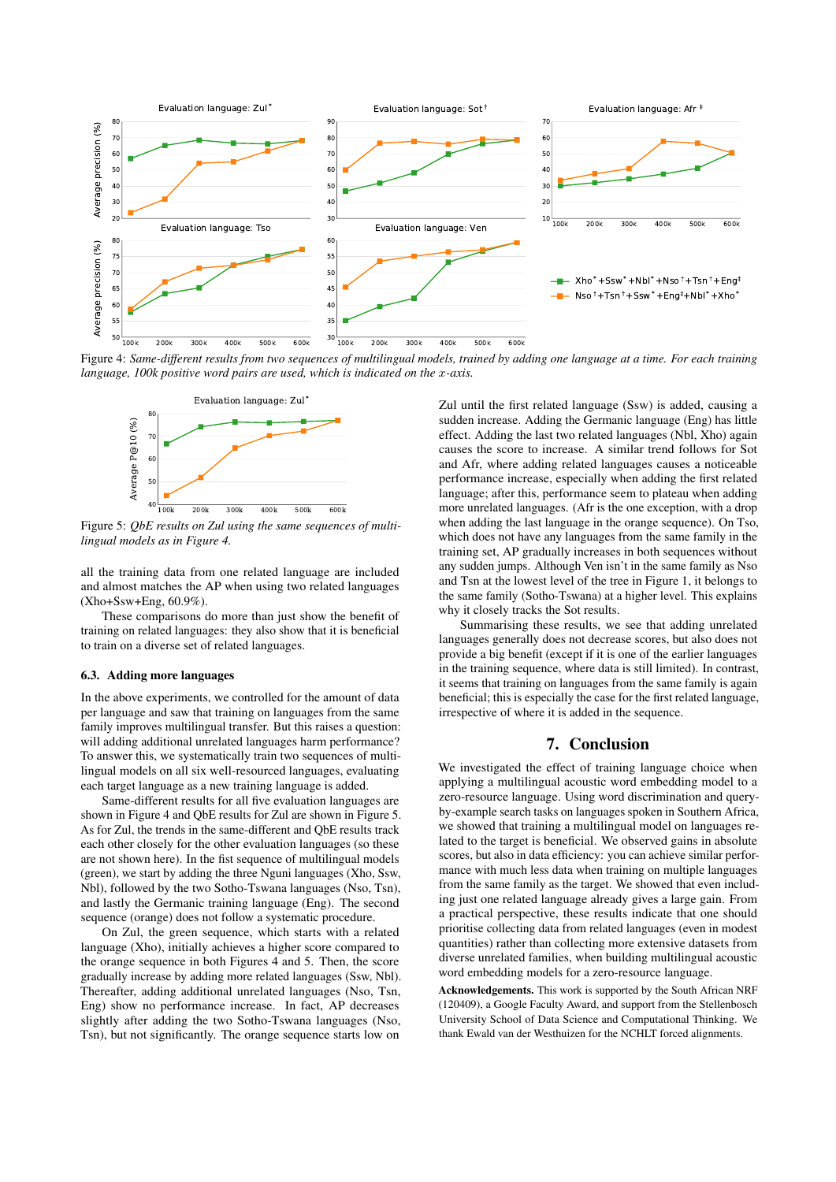<span id="page-3-0"></span>

<span id="page-3-1"></span>Figure 4: *Same-different results from two sequences of multilingual models, trained by adding one language at a time. For each training language, 100k positive word pairs are used, which is indicated on the* x*-axis.*



Figure 5: *QbE results on Zul using the same sequences of multilingual models as in Figure [4.](#page-3-0)*

all the training data from one related language are included and almost matches the AP when using two related languages (Xho+Ssw+Eng, 60.9%).

These comparisons do more than just show the benefit of training on related languages: they also show that it is beneficial to train on a diverse set of related languages.

#### 6.3. Adding more languages

In the above experiments, we controlled for the amount of data per language and saw that training on languages from the same family improves multilingual transfer. But this raises a question: will adding additional unrelated languages harm performance? To answer this, we systematically train two sequences of multilingual models on all six well-resourced languages, evaluating each target language as a new training language is added.

Same-different results for all five evaluation languages are shown in Figure [4](#page-3-0) and QbE results for Zul are shown in Figure [5.](#page-3-1) As for Zul, the trends in the same-different and QbE results track each other closely for the other evaluation languages (so these are not shown here). In the fist sequence of multilingual models (green), we start by adding the three Nguni languages (Xho, Ssw, Nbl), followed by the two Sotho-Tswana languages (Nso, Tsn), and lastly the Germanic training language (Eng). The second sequence (orange) does not follow a systematic procedure.

On Zul, the green sequence, which starts with a related language (Xho), initially achieves a higher score compared to the orange sequence in both Figures [4](#page-3-0) and [5.](#page-3-1) Then, the score gradually increase by adding more related languages (Ssw, Nbl). Thereafter, adding additional unrelated languages (Nso, Tsn, Eng) show no performance increase. In fact, AP decreases slightly after adding the two Sotho-Tswana languages (Nso, Tsn), but not significantly. The orange sequence starts low on

Zul until the first related language (Ssw) is added, causing a sudden increase. Adding the Germanic language (Eng) has little effect. Adding the last two related languages (Nbl, Xho) again causes the score to increase. A similar trend follows for Sot and Afr, where adding related languages causes a noticeable performance increase, especially when adding the first related language; after this, performance seem to plateau when adding more unrelated languages. (Afr is the one exception, with a drop when adding the last language in the orange sequence). On Tso, which does not have any languages from the same family in the training set, AP gradually increases in both sequences without any sudden jumps. Although Ven isn't in the same family as Nso and Tsn at the lowest level of the tree in Figure [1,](#page-1-0) it belongs to the same family (Sotho-Tswana) at a higher level. This explains why it closely tracks the Sot results.

Summarising these results, we see that adding unrelated languages generally does not decrease scores, but also does not provide a big benefit (except if it is one of the earlier languages in the training sequence, where data is still limited). In contrast, it seems that training on languages from the same family is again beneficial; this is especially the case for the first related language, irrespective of where it is added in the sequence.

#### 7. Conclusion

We investigated the effect of training language choice when applying a multilingual acoustic word embedding model to a zero-resource language. Using word discrimination and queryby-example search tasks on languages spoken in Southern Africa, we showed that training a multilingual model on languages related to the target is beneficial. We observed gains in absolute scores, but also in data efficiency: you can achieve similar performance with much less data when training on multiple languages from the same family as the target. We showed that even including just one related language already gives a large gain. From a practical perspective, these results indicate that one should prioritise collecting data from related languages (even in modest quantities) rather than collecting more extensive datasets from diverse unrelated families, when building multilingual acoustic word embedding models for a zero-resource language.

Acknowledgements. This work is supported by the South African NRF (120409), a Google Faculty Award, and support from the Stellenbosch University School of Data Science and Computational Thinking. We thank Ewald van der Westhuizen for the NCHLT forced alignments.